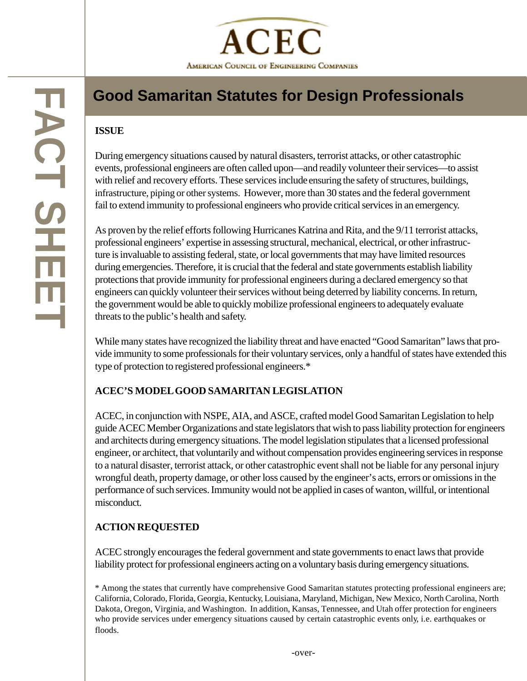

# **Good Samaritan Statutes for Design Professionals**

#### **ISSUE**

**FACT SHEET**

**FACT SHE** 

During emergency situations caused by natural disasters, terrorist attacks, or other catastrophic events, professional engineers are often called upon—and readily volunteer their services—to assist with relief and recovery efforts. These services include ensuring the safety of structures, buildings, infrastructure, piping or other systems. However, more than 30 states and the federal government fail to extend immunity to professional engineers who provide critical services in an emergency.

As proven by the relief efforts following Hurricanes Katrina and Rita, and the 9/11 terrorist attacks, professional engineers' expertise in assessing structural, mechanical, electrical, or other infrastructure is invaluable to assisting federal, state, or local governments that may have limited resources during emergencies. Therefore, it is crucial that the federal and state governments establish liability protections that provide immunity for professional engineers during a declared emergency so that engineers can quickly volunteer their services without being deterred by liability concerns. In return, the government would be able to quickly mobilize professional engineers to adequately evaluate threats to the public's health and safety.

While many states have recognized the liability threat and have enacted "Good Samaritan" laws that provide immunity to some professionals for their voluntary services, only a handful of states have extended this type of protection to registered professional engineers.\*

### **ACEC'S MODEL GOOD SAMARITAN LEGISLATION**

ACEC, in conjunction with NSPE, AIA, and ASCE, crafted model Good Samaritan Legislation to help guide ACEC Member Organizations and state legislators that wish to pass liability protection for engineers and architects during emergency situations. The model legislation stipulates that a licensed professional engineer, or architect, that voluntarily and without compensation provides engineering services in response to a natural disaster, terrorist attack, or other catastrophic event shall not be liable for any personal injury wrongful death, property damage, or other loss caused by the engineer's acts, errors or omissions in the performance of such services. Immunity would not be applied in cases of wanton, willful, or intentional misconduct.

### **ACTION REQUESTED**

ACEC strongly encourages the federal government and state governments to enact laws that provide liability protect for professional engineers acting on a voluntary basis during emergency situations.

\* Among the states that currently have comprehensive Good Samaritan statutes protecting professional engineers are; California, Colorado, Florida, Georgia, Kentuck y, Louisiana, Maryland, Michigan, New Mexico, North Carolina, North Dakota, Oregon, Virginia, and Washington. In addition, Kansas, Tennessee, and Utah offer protection for engineers who provide services under emergency situations caused by certain catastrophic events onl y, i.e. earthquakes or floods.